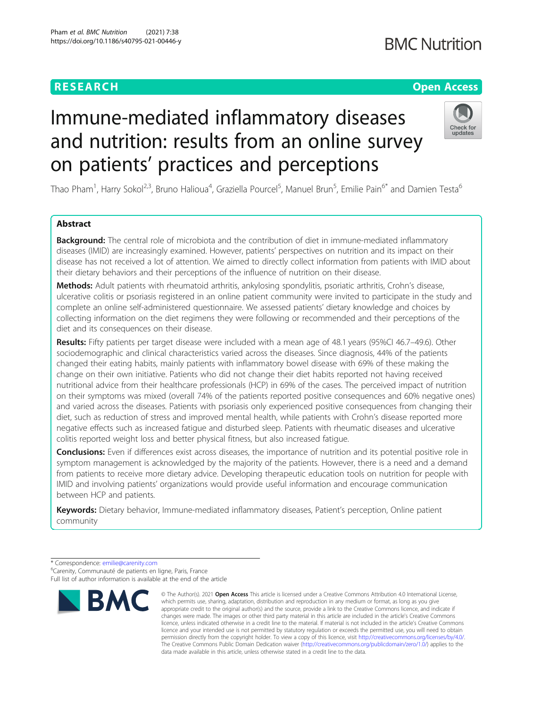### **RESEARCH CHEAR CHEAR CHEAR CHEAR CHEAR CHEAR CHEAR CHEAR CHEAR CHEAR CHEAR CHEAR CHEAR CHEAR CHEAR CHEAR CHEAR**

## **BMC Nutrition**

# Immune-mediated inflammatory diseases and nutrition: results from an online survey on patients' practices and perceptions



Thao Pham<sup>1</sup>, Harry Sokol<sup>2,3</sup>, Bruno Halioua<sup>4</sup>, Graziella Pourcel<sup>5</sup>, Manuel Brun<sup>5</sup>, Emilie Pain<sup>6\*</sup> and Damien Testa<sup>6</sup>

### Abstract

**Background:** The central role of microbiota and the contribution of diet in immune-mediated inflammatory diseases (IMID) are increasingly examined. However, patients' perspectives on nutrition and its impact on their disease has not received a lot of attention. We aimed to directly collect information from patients with IMID about their dietary behaviors and their perceptions of the influence of nutrition on their disease.

Methods: Adult patients with rheumatoid arthritis, ankylosing spondylitis, psoriatic arthritis, Crohn's disease, ulcerative colitis or psoriasis registered in an online patient community were invited to participate in the study and complete an online self-administered questionnaire. We assessed patients' dietary knowledge and choices by collecting information on the diet regimens they were following or recommended and their perceptions of the diet and its consequences on their disease.

Results: Fifty patients per target disease were included with a mean age of 48.1 years (95%CI 46.7–49.6). Other sociodemographic and clinical characteristics varied across the diseases. Since diagnosis, 44% of the patients changed their eating habits, mainly patients with inflammatory bowel disease with 69% of these making the change on their own initiative. Patients who did not change their diet habits reported not having received nutritional advice from their healthcare professionals (HCP) in 69% of the cases. The perceived impact of nutrition on their symptoms was mixed (overall 74% of the patients reported positive consequences and 60% negative ones) and varied across the diseases. Patients with psoriasis only experienced positive consequences from changing their diet, such as reduction of stress and improved mental health, while patients with Crohn's disease reported more negative effects such as increased fatigue and disturbed sleep. Patients with rheumatic diseases and ulcerative colitis reported weight loss and better physical fitness, but also increased fatigue.

**Conclusions:** Even if differences exist across diseases, the importance of nutrition and its potential positive role in symptom management is acknowledged by the majority of the patients. However, there is a need and a demand from patients to receive more dietary advice. Developing therapeutic education tools on nutrition for people with IMID and involving patients' organizations would provide useful information and encourage communication between HCP and patients.

Keywords: Dietary behavior, Immune-mediated inflammatory diseases, Patient's perception, Online patient community

<sup>\*</sup> Correspondence: [emilie@carenity.com](mailto:emilie@carenity.com) <sup>6</sup> <sup>6</sup>Carenity, Communauté de patients en ligne, Paris, France Full list of author information is available at the end of the article



<sup>©</sup> The Author(s), 2021 **Open Access** This article is licensed under a Creative Commons Attribution 4.0 International License, which permits use, sharing, adaptation, distribution and reproduction in any medium or format, as long as you give appropriate credit to the original author(s) and the source, provide a link to the Creative Commons licence, and indicate if changes were made. The images or other third party material in this article are included in the article's Creative Commons licence, unless indicated otherwise in a credit line to the material. If material is not included in the article's Creative Commons licence and your intended use is not permitted by statutory regulation or exceeds the permitted use, you will need to obtain permission directly from the copyright holder. To view a copy of this licence, visit [http://creativecommons.org/licenses/by/4.0/.](http://creativecommons.org/licenses/by/4.0/) The Creative Commons Public Domain Dedication waiver [\(http://creativecommons.org/publicdomain/zero/1.0/](http://creativecommons.org/publicdomain/zero/1.0/)) applies to the data made available in this article, unless otherwise stated in a credit line to the data.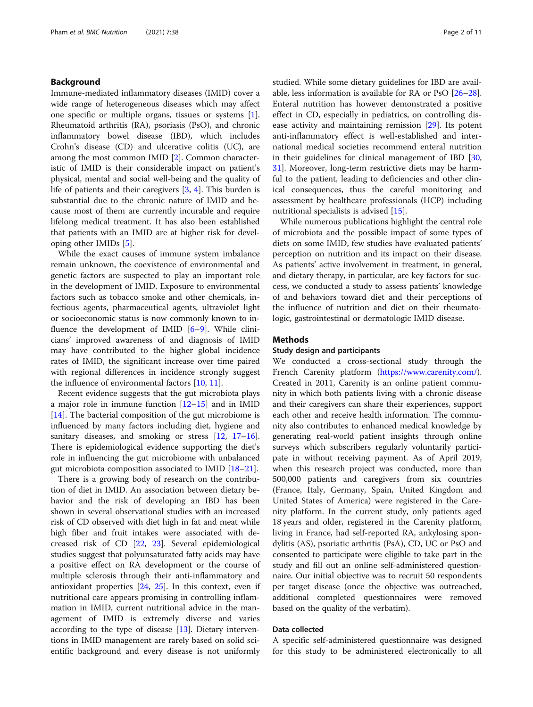#### Background

Immune-mediated inflammatory diseases (IMID) cover a wide range of heterogeneous diseases which may affect one specific or multiple organs, tissues or systems [\[1](#page-9-0)]. Rheumatoid arthritis (RA), psoriasis (PsO), and chronic inflammatory bowel disease (IBD), which includes Crohn's disease (CD) and ulcerative colitis (UC), are among the most common IMID [\[2](#page-9-0)]. Common characteristic of IMID is their considerable impact on patient's physical, mental and social well-being and the quality of life of patients and their caregivers [[3](#page-9-0), [4\]](#page-9-0). This burden is substantial due to the chronic nature of IMID and because most of them are currently incurable and require lifelong medical treatment. It has also been established that patients with an IMID are at higher risk for developing other IMIDs [[5\]](#page-9-0).

While the exact causes of immune system imbalance remain unknown, the coexistence of environmental and genetic factors are suspected to play an important role in the development of IMID. Exposure to environmental factors such as tobacco smoke and other chemicals, infectious agents, pharmaceutical agents, ultraviolet light or socioeconomic status is now commonly known to influence the development of IMID [[6](#page-9-0)–[9](#page-9-0)]. While clinicians' improved awareness of and diagnosis of IMID may have contributed to the higher global incidence rates of IMID, the significant increase over time paired with regional differences in incidence strongly suggest the influence of environmental factors [\[10](#page-9-0), [11](#page-9-0)].

Recent evidence suggests that the gut microbiota plays a major role in immune function [\[12](#page-9-0)–[15\]](#page-9-0) and in IMID [[14\]](#page-9-0). The bacterial composition of the gut microbiome is influenced by many factors including diet, hygiene and sanitary diseases, and smoking or stress [[12,](#page-9-0) [17](#page-9-0)-[16](#page-9-0)]. There is epidemiological evidence supporting the diet's role in influencing the gut microbiome with unbalanced gut microbiota composition associated to IMID [[18](#page-9-0)–[21](#page-10-0)].

There is a growing body of research on the contribution of diet in IMID. An association between dietary behavior and the risk of developing an IBD has been shown in several observational studies with an increased risk of CD observed with diet high in fat and meat while high fiber and fruit intakes were associated with decreased risk of CD [[22,](#page-10-0) [23\]](#page-10-0). Several epidemiological studies suggest that polyunsaturated fatty acids may have a positive effect on RA development or the course of multiple sclerosis through their anti-inflammatory and antioxidant properties  $[24, 25]$  $[24, 25]$  $[24, 25]$ . In this context, even if nutritional care appears promising in controlling inflammation in IMID, current nutritional advice in the management of IMID is extremely diverse and varies according to the type of disease [\[13\]](#page-9-0). Dietary interventions in IMID management are rarely based on solid scientific background and every disease is not uniformly studied. While some dietary guidelines for IBD are available, less information is available for RA or PsO [[26](#page-10-0)–[28](#page-10-0)]. Enteral nutrition has however demonstrated a positive effect in CD, especially in pediatrics, on controlling disease activity and maintaining remission [\[29](#page-10-0)]. Its potent anti-inflammatory effect is well-established and international medical societies recommend enteral nutrition in their guidelines for clinical management of IBD [[30](#page-10-0), [31\]](#page-10-0). Moreover, long-term restrictive diets may be harmful to the patient, leading to deficiencies and other clinical consequences, thus the careful monitoring and assessment by healthcare professionals (HCP) including nutritional specialists is advised [[15\]](#page-9-0).

While numerous publications highlight the central role of microbiota and the possible impact of some types of diets on some IMID, few studies have evaluated patients' perception on nutrition and its impact on their disease. As patients' active involvement in treatment, in general, and dietary therapy, in particular, are key factors for success, we conducted a study to assess patients' knowledge of and behaviors toward diet and their perceptions of the influence of nutrition and diet on their rheumatologic, gastrointestinal or dermatologic IMID disease.

#### Methods

#### Study design and participants

We conducted a cross-sectional study through the French Carenity platform (<https://www.carenity.com/>). Created in 2011, Carenity is an online patient community in which both patients living with a chronic disease and their caregivers can share their experiences, support each other and receive health information. The community also contributes to enhanced medical knowledge by generating real-world patient insights through online surveys which subscribers regularly voluntarily participate in without receiving payment. As of April 2019, when this research project was conducted, more than 500,000 patients and caregivers from six countries (France, Italy, Germany, Spain, United Kingdom and United States of America) were registered in the Carenity platform. In the current study, only patients aged 18 years and older, registered in the Carenity platform, living in France, had self-reported RA, ankylosing spondylitis (AS), psoriatic arthritis (PsA), CD, UC or PsO and consented to participate were eligible to take part in the study and fill out an online self-administered questionnaire. Our initial objective was to recruit 50 respondents per target disease (once the objective was outreached, additional completed questionnaires were removed based on the quality of the verbatim).

#### Data collected

A specific self-administered questionnaire was designed for this study to be administered electronically to all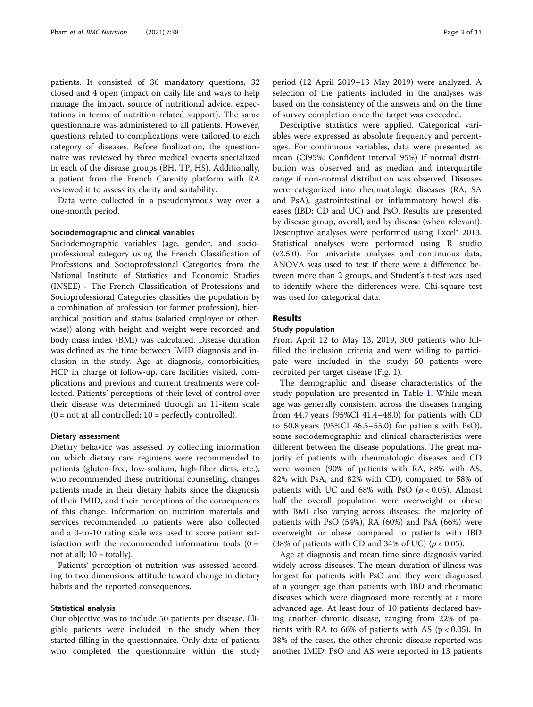patients. It consisted of 36 mandatory questions, 32 closed and 4 open (impact on daily life and ways to help manage the impact, source of nutritional advice, expectations in terms of nutrition-related support). The same questionnaire was administered to all patients. However, questions related to complications were tailored to each category of diseases. Before finalization, the questionnaire was reviewed by three medical experts specialized in each of the disease groups (BH, TP, HS). Additionally, a patient from the French Carenity platform with RA reviewed it to assess its clarity and suitability.

Data were collected in a pseudonymous way over a one-month period.

#### Sociodemographic and clinical variables

Sociodemographic variables (age, gender, and socioprofessional category using the French Classification of Professions and Socioprofessional Categories from the National Institute of Statistics and Economic Studies (INSEE) - The French Classification of Professions and Socioprofessional Categories classifies the population by a combination of profession (or former profession), hierarchical position and status (salaried employee or otherwise)) along with height and weight were recorded and body mass index (BMI) was calculated. Disease duration was defined as the time between IMID diagnosis and inclusion in the study. Age at diagnosis, comorbidities, HCP in charge of follow-up, care facilities visited, complications and previous and current treatments were collected. Patients' perceptions of their level of control over their disease was determined through an 11-item scale  $(0 = not at all controlled; 10 = perfectly controlled).$ 

#### Dietary assessment

Dietary behavior was assessed by collecting information on which dietary care regimens were recommended to patients (gluten-free, low-sodium, high-fiber diets, etc.), who recommended these nutritional counseling, changes patients made in their dietary habits since the diagnosis of their IMID, and their perceptions of the consequences of this change. Information on nutrition materials and services recommended to patients were also collected and a 0-to-10 rating scale was used to score patient satisfaction with the recommended information tools  $(0 =$ not at all;  $10 =$  totally).

Patients' perception of nutrition was assessed according to two dimensions: attitude toward change in dietary habits and the reported consequences.

#### Statistical analysis

Our objective was to include 50 patients per disease. Eligible patients were included in the study when they started filling in the questionnaire. Only data of patients who completed the questionnaire within the study period (12 April 2019–13 May 2019) were analyzed. A selection of the patients included in the analyses was based on the consistency of the answers and on the time of survey completion once the target was exceeded.

Descriptive statistics were applied. Categorical variables were expressed as absolute frequency and percentages. For continuous variables, data were presented as mean (CI95%: Confident interval 95%) if normal distribution was observed and as median and interquartile range if non-normal distribution was observed. Diseases were categorized into rheumatologic diseases (RA, SA and PsA), gastrointestinal or inflammatory bowel diseases (IBD: CD and UC) and PsO. Results are presented by disease group, overall, and by disease (when relevant). Descriptive analyses were performed using Excel® 2013. Statistical analyses were performed using R studio (v3.5.0). For univariate analyses and continuous data, ANOVA was used to test if there were a difference between more than 2 groups, and Student's t-test was used to identify where the differences were. Chi-square test was used for categorical data.

#### Results

#### Study population

From April 12 to May 13, 2019, 300 patients who fulfilled the inclusion criteria and were willing to participate were included in the study; 50 patients were recruited per target disease (Fig. [1](#page-3-0)).

The demographic and disease characteristics of the study population are presented in Table [1.](#page-4-0) While mean age was generally consistent across the diseases (ranging from 44.7 years (95%CI 41.4–48.0) for patients with CD to 50.8 years (95%CI 46.5–55.0) for patients with PsO), some sociodemographic and clinical characteristics were different between the disease populations. The great majority of patients with rheumatologic diseases and CD were women (90% of patients with RA, 88% with AS, 82% with PsA, and 82% with CD), compared to 58% of patients with UC and  $68\%$  with PsO ( $p < 0.05$ ). Almost half the overall population were overweight or obese with BMI also varying across diseases: the majority of patients with PsO (54%), RA (60%) and PsA (66%) were overweight or obese compared to patients with IBD (38% of patients with CD and 34% of UC) ( $p < 0.05$ ).

Age at diagnosis and mean time since diagnosis varied widely across diseases. The mean duration of illness was longest for patients with PsO and they were diagnosed at a younger age than patients with IBD and rheumatic diseases which were diagnosed more recently at a more advanced age. At least four of 10 patients declared having another chronic disease, ranging from 22% of patients with RA to 66% of patients with AS ( $p < 0.05$ ). In 38% of the cases, the other chronic disease reported was another IMID: PsO and AS were reported in 13 patients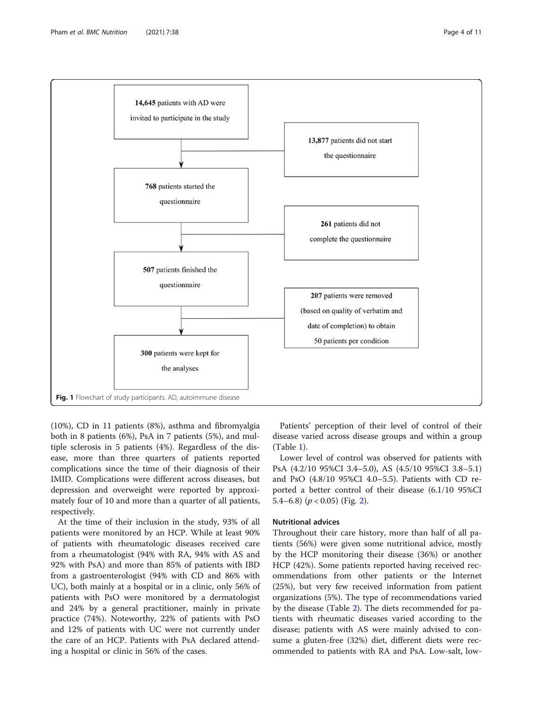

<span id="page-3-0"></span>

(10%), CD in 11 patients (8%), asthma and fibromyalgia both in 8 patients (6%), PsA in 7 patients (5%), and multiple sclerosis in 5 patients (4%). Regardless of the disease, more than three quarters of patients reported complications since the time of their diagnosis of their IMID. Complications were different across diseases, but depression and overweight were reported by approximately four of 10 and more than a quarter of all patients, respectively.

At the time of their inclusion in the study, 93% of all patients were monitored by an HCP. While at least 90% of patients with rheumatologic diseases received care from a rheumatologist (94% with RA, 94% with AS and 92% with PsA) and more than 85% of patients with IBD from a gastroenterologist (94% with CD and 86% with UC), both mainly at a hospital or in a clinic, only 56% of patients with PsO were monitored by a dermatologist and 24% by a general practitioner, mainly in private practice (74%). Noteworthy, 22% of patients with PsO and 12% of patients with UC were not currently under the care of an HCP. Patients with PsA declared attending a hospital or clinic in 56% of the cases.

Patients' perception of their level of control of their disease varied across disease groups and within a group (Table [1\)](#page-4-0).

Lower level of control was observed for patients with PsA (4.2/10 95%CI 3.4–5.0), AS (4.5/10 95%CI 3.8–5.1) and PsO (4.8/10 95%CI 4.0–5.5). Patients with CD reported a better control of their disease (6.1/10 95%CI 5.4–6.8)  $(p < 0.05)$  (Fig. [2\)](#page-5-0).

#### Nutritional advices

Throughout their care history, more than half of all patients (56%) were given some nutritional advice, mostly by the HCP monitoring their disease (36%) or another HCP (42%). Some patients reported having received recommendations from other patients or the Internet (25%), but very few received information from patient organizations (5%). The type of recommendations varied by the disease (Table [2](#page-6-0)). The diets recommended for patients with rheumatic diseases varied according to the disease; patients with AS were mainly advised to consume a gluten-free (32%) diet, different diets were recommended to patients with RA and PsA. Low-salt, low-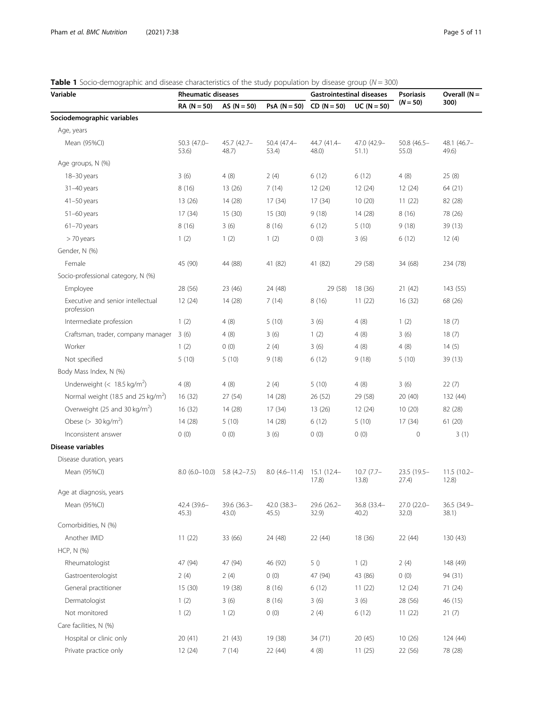| Page 5 of 1 |  |  |
|-------------|--|--|
|             |  |  |

<span id="page-4-0"></span>**Table 1** Socio-demographic and disease characteristics of the study population by disease group ( $N = 300$ )

| Variable                                        | <b>Table 1</b> Jocio demographic and disease characteristics of the study population by disease group (iv – Joo)<br><b>Rheumatic diseases</b> |                         |                      | <b>Gastrointestinal diseases</b> |                       | <b>Psoriasis</b>       | Overall $(N =$         |  |
|-------------------------------------------------|-----------------------------------------------------------------------------------------------------------------------------------------------|-------------------------|----------------------|----------------------------------|-----------------------|------------------------|------------------------|--|
|                                                 | $RA (N = 50)$                                                                                                                                 | AS $(N = 50)$           | $PsA (N = 50)$       | $CD (N = 50)$                    | $UC (N = 50)$         | $(N = 50)$             | 300)                   |  |
| Sociodemographic variables                      |                                                                                                                                               |                         |                      |                                  |                       |                        |                        |  |
| Age, years                                      |                                                                                                                                               |                         |                      |                                  |                       |                        |                        |  |
| Mean (95%CI)                                    | $50.3(47.0 -$<br>53.6)                                                                                                                        | 45.7 (42.7-<br>$48.7$ ) | 50.4 (47.4-<br>53.4) | 44.7 (41.4-<br>$48.0$ )          | 47.0 (42.9-<br>51.1)  | $50.8(46.5 -$<br>55.0) | 48.1 (46.7-<br>49.6)   |  |
| Age groups, N (%)                               |                                                                                                                                               |                         |                      |                                  |                       |                        |                        |  |
| 18-30 years                                     | 3(6)                                                                                                                                          | 4(8)                    | 2(4)                 | 6(12)                            | 6(12)                 | 4(8)                   | 25(8)                  |  |
| $31 - 40$ years                                 | 8(16)                                                                                                                                         | 13(26)                  | 7(14)                | 12(24)                           | 12(24)                | 12(24)                 | 64 (21)                |  |
| $41 - 50$ years                                 | 13(26)                                                                                                                                        | 14 (28)                 | 17(34)               | 17(34)                           | 10(20)                | 11(22)                 | 82 (28)                |  |
| $51-60$ years                                   | 17 (34)                                                                                                                                       | 15(30)                  | 15(30)               | 9(18)                            | 14 (28)               | 8(16)                  | 78 (26)                |  |
| $61 - 70$ years                                 | 8(16)                                                                                                                                         | 3(6)                    | 8(16)                | 6(12)                            | 5(10)                 | 9(18)                  | 39 (13)                |  |
| > 70 years                                      | 1(2)                                                                                                                                          | 1(2)                    | 1(2)                 | 0(0)                             | 3(6)                  | 6(12)                  | 12(4)                  |  |
| Gender, N (%)                                   |                                                                                                                                               |                         |                      |                                  |                       |                        |                        |  |
| Female                                          | 45 (90)                                                                                                                                       | 44 (88)                 | 41 (82)              | 41 (82)                          | 29 (58)               | 34 (68)                | 234 (78)               |  |
| Socio-professional category, N (%)              |                                                                                                                                               |                         |                      |                                  |                       |                        |                        |  |
| Employee                                        | 28 (56)                                                                                                                                       | 23 (46)                 | 24 (48)              | 29 (58)                          | 18 (36)               | 21(42)                 | 143 (55)               |  |
| Executive and senior intellectual<br>profession | 12(24)                                                                                                                                        | 14 (28)                 | 7(14)                | 8(16)                            | 11(22)                | 16(32)                 | 68 (26)                |  |
| Intermediate profession                         | 1(2)                                                                                                                                          | 4(8)                    | 5(10)                | 3(6)                             | 4(8)                  | 1(2)                   | 18(7)                  |  |
| Craftsman, trader, company manager              | 3(6)                                                                                                                                          | 4(8)                    | 3(6)                 | 1(2)                             | 4(8)                  | 3(6)                   | 18(7)                  |  |
| Worker                                          | 1(2)                                                                                                                                          | 0(0)                    | 2(4)                 | 3(6)                             | 4(8)                  | 4(8)                   | 14(5)                  |  |
| Not specified                                   | 5(10)                                                                                                                                         | 5(10)                   | 9(18)                | 6(12)                            | 9(18)                 | 5(10)                  | 39 (13)                |  |
| Body Mass Index, N (%)                          |                                                                                                                                               |                         |                      |                                  |                       |                        |                        |  |
| Underweight $(< 18.5 \text{ kg/m}^2)$           | 4(8)                                                                                                                                          | 4(8)                    | 2(4)                 | 5(10)                            | 4(8)                  | 3(6)                   | 22(7)                  |  |
| Normal weight (18.5 and 25 kg/m <sup>2</sup> )  | 16(32)                                                                                                                                        | 27(54)                  | 14(28)               | 26 (52)                          | 29 (58)               | 20(40)                 | 132 (44)               |  |
| Overweight (25 and 30 kg/m <sup>2</sup> )       | 16(32)                                                                                                                                        | 14 (28)                 | 17(34)               | 13(26)                           | 12(24)                | 10(20)                 | 82 (28)                |  |
| Obese ( $> 30$ kg/m <sup>2</sup> )              | 14 (28)                                                                                                                                       | 5(10)                   | 14(28)               | 6(12)                            | 5(10)                 | 17 (34)                | 61(20)                 |  |
| Inconsistent answer                             | 0(0)                                                                                                                                          | 0(0)                    | 3(6)                 | 0(0)                             | 0(0)                  | $\mathbf 0$            | 3(1)                   |  |
| Disease variables                               |                                                                                                                                               |                         |                      |                                  |                       |                        |                        |  |
| Disease duration, years                         |                                                                                                                                               |                         |                      |                                  |                       |                        |                        |  |
| Mean (95%Cl)                                    | $8.0(6.0-10.0)$                                                                                                                               | $5.8(4.2 - 7.5)$        | $8.0(4.6 - 11.4)$    | 15.1 (12.4–<br>17.8)             | $10.7(7.7 -$<br>13.8) | 23.5 (19.5-<br>27.4)   | $11.5(10.2 -$<br>12.8) |  |
| Age at diagnosis, years                         |                                                                                                                                               |                         |                      |                                  |                       |                        |                        |  |
| Mean (95%CI)                                    | 42.4 (39.6-<br>45.3)                                                                                                                          | 39.6 (36.3-<br>43.0)    | 42.0 (38.3-<br>45.5) | 29.6 (26.2-<br>32.9)             | 36.8 (33.4-<br>40.2)  | 27.0 (22.0-<br>32.0)   | 36.5 (34.9-<br>38.1)   |  |
| Comorbidities, N (%)                            |                                                                                                                                               |                         |                      |                                  |                       |                        |                        |  |
| Another IMID                                    | 11(22)                                                                                                                                        | 33 (66)                 | 24 (48)              | 22 (44)                          | 18 (36)               | 22 (44)                | 130(43)                |  |
| HCP, N (%)                                      |                                                                                                                                               |                         |                      |                                  |                       |                        |                        |  |
| Rheumatologist                                  | 47 (94)                                                                                                                                       | 47 (94)                 | 46 (92)              | 5()                              | 1(2)                  | 2(4)                   | 148 (49)               |  |
| Gastroenterologist                              | 2(4)                                                                                                                                          | 2(4)                    | 0(0)                 | 47 (94)                          | 43 (86)               | 0(0)                   | 94 (31)                |  |
| General practitioner                            | 15(30)                                                                                                                                        | 19 (38)                 | 8(16)                | 6(12)                            | 11(22)                | 12(24)                 | 71 (24)                |  |
| Dermatologist                                   | 1(2)                                                                                                                                          | 3(6)                    | 8 (16)               | 3(6)                             | 3(6)                  | 28 (56)                | 46 (15)                |  |
| Not monitored                                   | 1(2)                                                                                                                                          | 1(2)                    | 0(0)                 | 2(4)                             | 6(12)                 | 11(22)                 | 21(7)                  |  |
| Care facilities, N (%)                          |                                                                                                                                               |                         |                      |                                  |                       |                        |                        |  |
| Hospital or clinic only                         | 20(41)                                                                                                                                        | 21(43)                  | 19 (38)              | 34 (71)                          | 20 (45)               | 10(26)                 | 124 (44)               |  |
| Private practice only                           | 12(24)                                                                                                                                        | 7(14)                   | 22 (44)              | 4(8)                             | 11(25)                | 22 (56)                | 78 (28)                |  |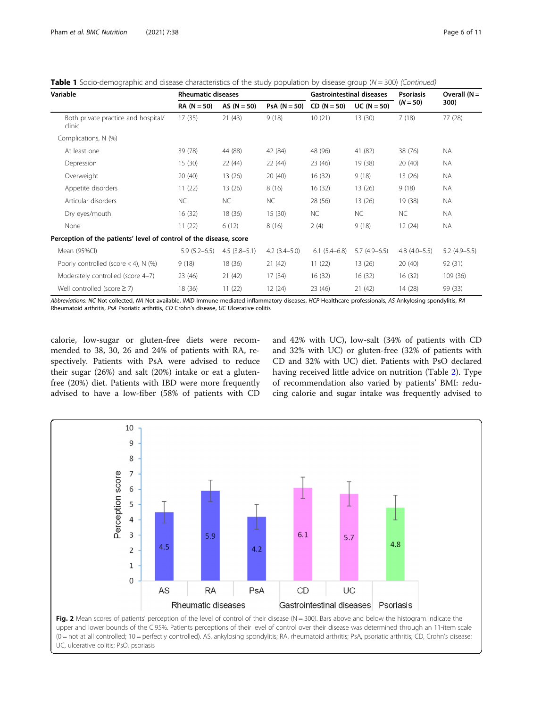<span id="page-5-0"></span>**Table 1** Socio-demographic and disease characteristics of the study population by disease group ( $N = 300$ ) (Continued)

| Variable                                                           |                  | <b>Rheumatic diseases</b> |                   |                | <b>Gastrointestinal diseases</b> |                | Overall $(N =$ |  |
|--------------------------------------------------------------------|------------------|---------------------------|-------------------|----------------|----------------------------------|----------------|----------------|--|
|                                                                    | $RA (N = 50)$    | AS $(N = 50)$             | $PsA (N = 50)$    | $CD (N = 50)$  | $UC (N = 50)$                    | $(N = 50)$     | 300)           |  |
| Both private practice and hospital/<br>clinic                      | 17(35)           | 21(43)                    | 9(18)             | 10(21)         | 13(30)                           | 7(18)          | 77 (28)        |  |
| Complications, N (%)                                               |                  |                           |                   |                |                                  |                |                |  |
| At least one                                                       | 39 (78)          | 44 (88)                   | 42 (84)           | 48 (96)        | 41 (82)                          | 38 (76)        | <b>NA</b>      |  |
| Depression                                                         | 15(30)           | 22(44)                    | 22(44)            | 23 (46)        | 19 (38)                          | 20(40)         | <b>NA</b>      |  |
| Overweight                                                         | 20(40)           | 13 (26)                   | 20(40)            | 16 (32)        | 9(18)                            | 13 (26)        | <b>NA</b>      |  |
| Appetite disorders                                                 | 11(22)           | 13 (26)                   | 8(16)             | 16 (32)        | 13 (26)                          | 9(18)          | <b>NA</b>      |  |
| Articular disorders                                                | <b>NC</b>        | <b>NC</b>                 | NC.               | 28 (56)        | 13 (26)                          | 19 (38)        | <b>NA</b>      |  |
| Dry eyes/mouth                                                     | 16(32)           | 18(36)                    | 15(30)            | NC.            | <b>NC</b>                        | NC.            | <b>NA</b>      |  |
| None                                                               | 11(22)           | 6(12)                     | 8(16)             | 2(4)           | 9(18)                            | 12(24)         | <b>NA</b>      |  |
| Perception of the patients' level of control of the disease, score |                  |                           |                   |                |                                  |                |                |  |
| Mean (95%Cl)                                                       | $5.9(5.2 - 6.5)$ | $4.5(3.8-5.1)$            | $4.2$ $(3.4-5.0)$ | $6.1(5.4-6.8)$ | $5.7(4.9-6.5)$                   | $4.8(4.0-5.5)$ | $5.2(4.9-5.5)$ |  |
| Poorly controlled (score $<$ 4), N (%)                             | 9(18)            | 18 (36)                   | 21(42)            | 11(22)         | 13(26)                           | 20(40)         | 92(31)         |  |
| Moderately controlled (score 4-7)                                  | 23 (46)          | 21(42)                    | 17(34)            | 16 (32)        | 16(32)                           | 16(32)         | 109(36)        |  |
| Well controlled (score $\geq$ 7)                                   | 18 (36)          | 11(22)                    | 12(24)            | 23 (46)        | 21(42)                           | 14 (28)        | 99 (33)        |  |

Abbreviations: NC Not collected, NA Not available, IMID Immune-mediated inflammatory diseases, HCP Healthcare professionals, AS Ankylosing spondylitis, RA Rheumatoid arthritis, PsA Psoriatic arthritis, CD Crohn's disease, UC Ulcerative colitis

calorie, low-sugar or gluten-free diets were recommended to 38, 30, 26 and 24% of patients with RA, respectively. Patients with PsA were advised to reduce their sugar (26%) and salt (20%) intake or eat a glutenfree (20%) diet. Patients with IBD were more frequently advised to have a low-fiber (58% of patients with CD and 42% with UC), low-salt (34% of patients with CD and 32% with UC) or gluten-free (32% of patients with CD and 32% with UC) diet. Patients with PsO declared having received little advice on nutrition (Table [2](#page-6-0)). Type of recommendation also varied by patients' BMI: reducing calorie and sugar intake was frequently advised to

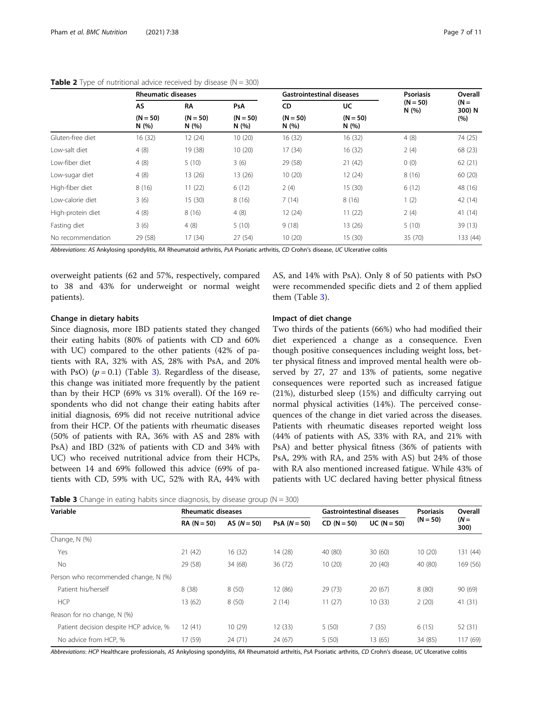| $\overline{\phantom{0}}$ |                           |                    |                    |                                  |                    |                    |                  |  |  |  |
|--------------------------|---------------------------|--------------------|--------------------|----------------------------------|--------------------|--------------------|------------------|--|--|--|
|                          | <b>Rheumatic diseases</b> |                    |                    | <b>Gastrointestinal diseases</b> |                    | <b>Psoriasis</b>   | Overall          |  |  |  |
|                          | <b>AS</b>                 | RΛ                 | <b>PsA</b>         | CD                               | UC                 | $(N = 50)$<br>N(%) | $(N =$<br>300) N |  |  |  |
|                          | $(N = 50)$<br>N(%)        | $(N = 50)$<br>N(%) | $(N = 50)$<br>N(%) | $(N = 50)$<br>N(%)               | $(N = 50)$<br>N(%) |                    | (%)              |  |  |  |
| Gluten-free diet         | 16 (32)                   | 12(24)             | 10(20)             | 16 (32)                          | 16(32)             | 4(8)               | 74 (25)          |  |  |  |
| Low-salt diet            | 4(8)                      | 19 (38)            | 10(20)             | 17(34)                           | 16(32)             | 2(4)               | 68 (23)          |  |  |  |
| Low-fiber diet           | 4(8)                      | 5(10)              | 3(6)               | 29 (58)                          | 21(42)             | 0(0)               | 62(21)           |  |  |  |
| Low-sugar diet           | 4(8)                      | 13 (26)            | 13 (26)            | 10(20)                           | 12(24)             | 8(16)              | 60(20)           |  |  |  |
| High-fiber diet          | 8(16)                     | 11(22)             | 6(12)              | 2(4)                             | 15(30)             | 6(12)              | 48 (16)          |  |  |  |
| Low-calorie diet         | 3(6)                      | 15(30)             | 8(16)              | 7(14)                            | 8(16)              | 1(2)               | 42 (14)          |  |  |  |
| High-protein diet        | 4(8)                      | 8(16)              | 4(8)               | 12(24)                           | 11(22)             | 2(4)               | 41 (14)          |  |  |  |
| Fasting diet             | 3(6)                      | 4(8)               | 5(10)              | 9(18)                            | 13(26)             | 5(10)              | 39(13)           |  |  |  |
| No recommendation        | 29 (58)                   | 17(34)             | 27(54)             | 10(20)                           | 15(30)             | 35 (70)            | 133 (44)         |  |  |  |

<span id="page-6-0"></span>**Table 2** Type of nutritional advice received by disease ( $N = 300$ )

Abbreviations: AS Ankylosing spondylitis, RA Rheumatoid arthritis, PsA Psoriatic arthritis, CD Crohn's disease, UC Ulcerative colitis

overweight patients (62 and 57%, respectively, compared to 38 and 43% for underweight or normal weight patients).

AS, and 14% with PsA). Only 8 of 50 patients with PsO were recommended specific diets and 2 of them applied them (Table 3).

#### Change in dietary habits

Since diagnosis, more IBD patients stated they changed their eating habits (80% of patients with CD and 60% with UC) compared to the other patients (42% of patients with RA, 32% with AS, 28% with PsA, and 20% with PsO)  $(p = 0.1)$  (Table 3). Regardless of the disease, this change was initiated more frequently by the patient than by their HCP (69% vs 31% overall). Of the 169 respondents who did not change their eating habits after initial diagnosis, 69% did not receive nutritional advice from their HCP. Of the patients with rheumatic diseases (50% of patients with RA, 36% with AS and 28% with PsA) and IBD (32% of patients with CD and 34% with UC) who received nutritional advice from their HCPs, between 14 and 69% followed this advice (69% of patients with CD, 59% with UC, 52% with RA, 44% with

#### Impact of diet change

Two thirds of the patients (66%) who had modified their diet experienced a change as a consequence. Even though positive consequences including weight loss, better physical fitness and improved mental health were observed by 27, 27 and 13% of patients, some negative consequences were reported such as increased fatigue (21%), disturbed sleep (15%) and difficulty carrying out normal physical activities (14%). The perceived consequences of the change in diet varied across the diseases. Patients with rheumatic diseases reported weight loss (44% of patients with AS, 33% with RA, and 21% with PsA) and better physical fitness (36% of patients with PsA, 29% with RA, and 25% with AS) but 24% of those with RA also mentioned increased fatigue. While 43% of patients with UC declared having better physical fitness

|  | <b>Table 3</b> Change in eating habits since diagnosis, by disease group ( $N = 300$ ) |  |  |  |  |  |  |  |  |  |
|--|----------------------------------------------------------------------------------------|--|--|--|--|--|--|--|--|--|
|--|----------------------------------------------------------------------------------------|--|--|--|--|--|--|--|--|--|

| Variable                               |               | <b>Rheumatic diseases</b> |                |               | <b>Gastrointestinal diseases</b> | <b>Psoriasis</b> | Overall        |  |
|----------------------------------------|---------------|---------------------------|----------------|---------------|----------------------------------|------------------|----------------|--|
|                                        | $RA (N = 50)$ | AS $(N = 50)$             | $PsA (N = 50)$ | $CD (N = 50)$ | $UC (N = 50)$                    | $(N = 50)$       | $(N =$<br>300) |  |
| Change, N (%)                          |               |                           |                |               |                                  |                  |                |  |
| Yes                                    | 21(42)        | 16(32)                    | 14 (28)        | 40 (80)       | 30(60)                           | 10(20)           | 131 (44)       |  |
| No.                                    | 29 (58)       | 34 (68)                   | 36(72)         | 10(20)        | 20(40)                           | 40 (80)          | 169 (56)       |  |
| Person who recommended change, N (%)   |               |                           |                |               |                                  |                  |                |  |
| Patient his/herself                    | 8(38)         | 8(50)                     | 12 (86)        | 29(73)        | 20(67)                           | 8(80)            | 90 (69)        |  |
| <b>HCP</b>                             | 13(62)        | 8(50)                     | 2(14)          | 11(27)        | 10(33)                           | 2(20)            | 41(31)         |  |
| Reason for no change, N (%)            |               |                           |                |               |                                  |                  |                |  |
| Patient decision despite HCP advice, % | 12(41)        | 10(29)                    | 12(33)         | 5(50)         | 7(35)                            | 6(15)            | 52 (31)        |  |
| No advice from HCP, %                  | 17 (59)       | 24(71)                    | 24 (67)        | 5(50)         | 13 (65)                          | 34 (85)          | 117 (69)       |  |

Abbreviations: HCP Healthcare professionals, AS Ankylosing spondylitis, RA Rheumatoid arthritis, PsA Psoriatic arthritis, CD Crohn's disease, UC Ulcerative colitis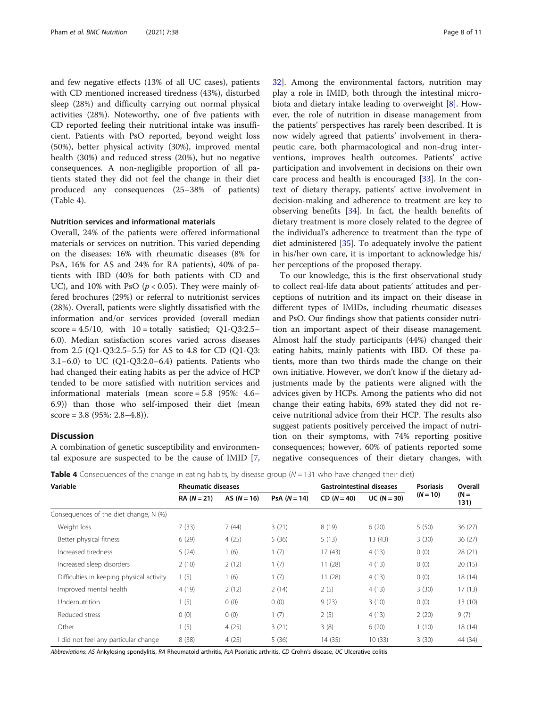and few negative effects (13% of all UC cases), patients with CD mentioned increased tiredness (43%), disturbed sleep (28%) and difficulty carrying out normal physical activities (28%). Noteworthy, one of five patients with CD reported feeling their nutritional intake was insufficient. Patients with PsO reported, beyond weight loss (50%), better physical activity (30%), improved mental health (30%) and reduced stress (20%), but no negative consequences. A non-negligible proportion of all patients stated they did not feel the change in their diet produced any consequences (25–38% of patients) (Table 4).

#### Nutrition services and informational materials

Overall, 24% of the patients were offered informational materials or services on nutrition. This varied depending on the diseases: 16% with rheumatic diseases (8% for PsA, 16% for AS and 24% for RA patients), 40% of patients with IBD (40% for both patients with CD and UC), and 10% with PsO ( $p < 0.05$ ). They were mainly offered brochures (29%) or referral to nutritionist services (28%). Overall, patients were slightly dissatisfied with the information and/or services provided (overall median  $score = 4.5/10$ , with  $10 = totally satisfied$ ; Q1-Q3:2.5– 6.0). Median satisfaction scores varied across diseases from 2.5 (Q1-Q3:2.5–5.5) for AS to 4.8 for CD (Q1-Q3: 3.1–6.0) to UC (Q1-Q3:2.0–6.4) patients. Patients who had changed their eating habits as per the advice of HCP tended to be more satisfied with nutrition services and informational materials (mean score = 5.8 (95%: 4.6– 6.9)) than those who self-imposed their diet (mean score =  $3.8$  (95%:  $2.8-4.8$ )).

#### **Discussion**

A combination of genetic susceptibility and environmental exposure are suspected to be the cause of IMID [\[7](#page-9-0), [32\]](#page-10-0). Among the environmental factors, nutrition may play a role in IMID, both through the intestinal microbiota and dietary intake leading to overweight [[8\]](#page-9-0). However, the role of nutrition in disease management from the patients' perspectives has rarely been described. It is now widely agreed that patients' involvement in therapeutic care, both pharmacological and non-drug interventions, improves health outcomes. Patients' active participation and involvement in decisions on their own care process and health is encouraged [[33\]](#page-10-0). In the context of dietary therapy, patients' active involvement in decision-making and adherence to treatment are key to observing benefits  $[34]$  $[34]$ . In fact, the health benefits of dietary treatment is more closely related to the degree of the individual's adherence to treatment than the type of diet administered [\[35](#page-10-0)]. To adequately involve the patient in his/her own care, it is important to acknowledge his/ her perceptions of the proposed therapy.

To our knowledge, this is the first observational study to collect real-life data about patients' attitudes and perceptions of nutrition and its impact on their disease in different types of IMIDs, including rheumatic diseases and PsO. Our findings show that patients consider nutrition an important aspect of their disease management. Almost half the study participants (44%) changed their eating habits, mainly patients with IBD. Of these patients, more than two thirds made the change on their own initiative. However, we don't know if the dietary adjustments made by the patients were aligned with the advices given by HCPs. Among the patients who did not change their eating habits, 69% stated they did not receive nutritional advice from their HCP. The results also suggest patients positively perceived the impact of nutrition on their symptoms, with 74% reporting positive consequences; however, 60% of patients reported some negative consequences of their dietary changes, with

|  |  |  |  |  | Table 4 Consequences of the change in eating habits, by disease group (N = 131 who have changed their diet) |  |
|--|--|--|--|--|-------------------------------------------------------------------------------------------------------------|--|
|--|--|--|--|--|-------------------------------------------------------------------------------------------------------------|--|

| Variable                                  | <b>Rheumatic diseases</b> |               |                | <b>Gastrointestinal diseases</b> |               | <b>Psoriasis</b> | Overall        |  |
|-------------------------------------------|---------------------------|---------------|----------------|----------------------------------|---------------|------------------|----------------|--|
|                                           | $RA (N = 21)$             | AS $(N = 16)$ | $PsA (N = 14)$ | $CD (N = 40)$                    | $UC (N = 30)$ | $(N = 10)$       | $(N =$<br>131) |  |
| Consequences of the diet change, N (%)    |                           |               |                |                                  |               |                  |                |  |
| Weight loss                               | 7(33)                     | 7(44)         | 3(21)          | 8(19)                            | 6(20)         | 5(50)            | 36(27)         |  |
| Better physical fitness                   | 6(29)                     | 4(25)         | 5(36)          | 5(13)                            | 13(43)        | 3(30)            | 36(27)         |  |
| Increased tiredness                       | 5(24)                     | 1(6)          | 1(7)           | 17(43)                           | 4(13)         | 0(0)             | 28(21)         |  |
| Increased sleep disorders                 | 2(10)                     | 2(12)         | 1(7)           | 11(28)                           | 4(13)         | 0(0)             | 20(15)         |  |
| Difficulties in keeping physical activity | 1(5)                      | 1(6)          | 1(7)           | 11(28)                           | 4(13)         | 0(0)             | 18 (14)        |  |
| Improved mental health                    | 4(19)                     | 2(12)         | 2(14)          | 2(5)                             | 4(13)         | 3(30)            | 17(13)         |  |
| Undernutrition                            | 1(5)                      | 0(0)          | 0(0)           | 9(23)                            | 3(10)         | 0(0)             | 13(10)         |  |
| Reduced stress                            | 0(0)                      | 0(0)          | 1(7)           | 2(5)                             | 4(13)         | 2(20)            | 9(7)           |  |
| Other                                     | 1(5)                      | 4(25)         | 3(21)          | 3(8)                             | 6(20)         | 1(10)            | 18 (14)        |  |
| I did not feel any particular change      | 8(38)                     | 4(25)         | 5(36)          | 14(35)                           | 10(33)        | 3(30)            | 44 (34)        |  |

Abbreviations: AS Ankylosing spondylitis, RA Rheumatoid arthritis, PsA Psoriatic arthritis, CD Crohn's disease, UC Ulcerative colitis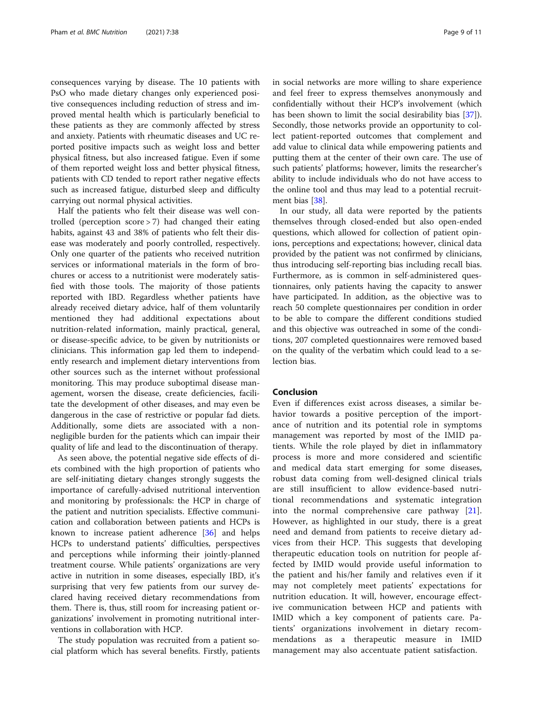consequences varying by disease. The 10 patients with PsO who made dietary changes only experienced positive consequences including reduction of stress and improved mental health which is particularly beneficial to these patients as they are commonly affected by stress and anxiety. Patients with rheumatic diseases and UC reported positive impacts such as weight loss and better physical fitness, but also increased fatigue. Even if some of them reported weight loss and better physical fitness, patients with CD tended to report rather negative effects such as increased fatigue, disturbed sleep and difficulty carrying out normal physical activities.

Half the patients who felt their disease was well controlled (perception score > 7) had changed their eating habits, against 43 and 38% of patients who felt their disease was moderately and poorly controlled, respectively. Only one quarter of the patients who received nutrition services or informational materials in the form of brochures or access to a nutritionist were moderately satisfied with those tools. The majority of those patients reported with IBD. Regardless whether patients have already received dietary advice, half of them voluntarily mentioned they had additional expectations about nutrition-related information, mainly practical, general, or disease-specific advice, to be given by nutritionists or clinicians. This information gap led them to independently research and implement dietary interventions from other sources such as the internet without professional monitoring. This may produce suboptimal disease management, worsen the disease, create deficiencies, facilitate the development of other diseases, and may even be dangerous in the case of restrictive or popular fad diets. Additionally, some diets are associated with a nonnegligible burden for the patients which can impair their quality of life and lead to the discontinuation of therapy.

As seen above, the potential negative side effects of diets combined with the high proportion of patients who are self-initiating dietary changes strongly suggests the importance of carefully-advised nutritional intervention and monitoring by professionals: the HCP in charge of the patient and nutrition specialists. Effective communication and collaboration between patients and HCPs is known to increase patient adherence [\[36\]](#page-10-0) and helps HCPs to understand patients' difficulties, perspectives and perceptions while informing their jointly-planned treatment course. While patients' organizations are very active in nutrition in some diseases, especially IBD, it's surprising that very few patients from our survey declared having received dietary recommendations from them. There is, thus, still room for increasing patient organizations' involvement in promoting nutritional interventions in collaboration with HCP.

The study population was recruited from a patient social platform which has several benefits. Firstly, patients in social networks are more willing to share experience and feel freer to express themselves anonymously and confidentially without their HCP's involvement (which has been shown to limit the social desirability bias [\[37](#page-10-0)]). Secondly, those networks provide an opportunity to collect patient-reported outcomes that complement and add value to clinical data while empowering patients and putting them at the center of their own care. The use of such patients' platforms; however, limits the researcher's ability to include individuals who do not have access to the online tool and thus may lead to a potential recruitment bias [[38\]](#page-10-0).

In our study, all data were reported by the patients themselves through closed-ended but also open-ended questions, which allowed for collection of patient opinions, perceptions and expectations; however, clinical data provided by the patient was not confirmed by clinicians, thus introducing self-reporting bias including recall bias. Furthermore, as is common in self-administered questionnaires, only patients having the capacity to answer have participated. In addition, as the objective was to reach 50 complete questionnaires per condition in order to be able to compare the different conditions studied and this objective was outreached in some of the conditions, 207 completed questionnaires were removed based on the quality of the verbatim which could lead to a selection bias.

#### Conclusion

Even if differences exist across diseases, a similar behavior towards a positive perception of the importance of nutrition and its potential role in symptoms management was reported by most of the IMID patients. While the role played by diet in inflammatory process is more and more considered and scientific and medical data start emerging for some diseases, robust data coming from well-designed clinical trials are still insufficient to allow evidence-based nutritional recommendations and systematic integration into the normal comprehensive care pathway [\[21](#page-10-0)]. However, as highlighted in our study, there is a great need and demand from patients to receive dietary advices from their HCP. This suggests that developing therapeutic education tools on nutrition for people affected by IMID would provide useful information to the patient and his/her family and relatives even if it may not completely meet patients' expectations for nutrition education. It will, however, encourage effective communication between HCP and patients with IMID which a key component of patients care. Patients' organizations involvement in dietary recommendations as a therapeutic measure in IMID management may also accentuate patient satisfaction.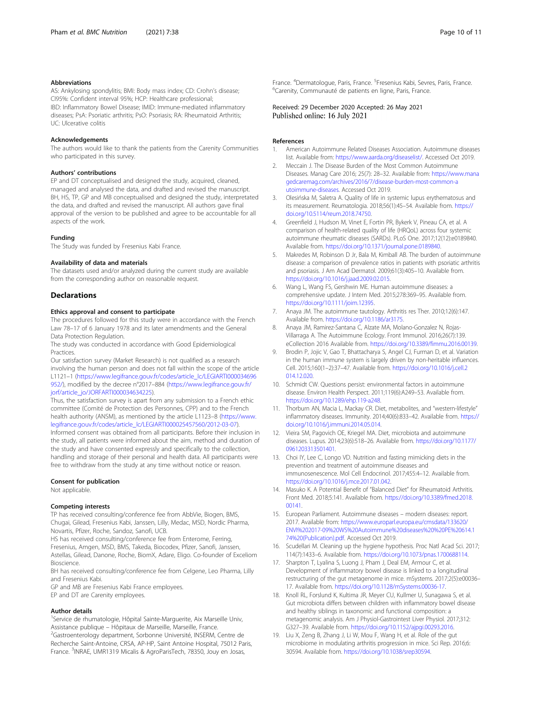#### <span id="page-9-0"></span>Abbreviations

AS: Ankylosing spondylitis; BMI: Body mass index; CD: Crohn's disease; CI95%: Confident interval 95%; HCP: Healthcare professional; IBD: Inflammatory Bowel Disease; IMID: Immune-mediated inflammatory diseases; PsA: Psoriatic arthritis; PsO: Psoriasis; RA: Rheumatoid Arthritis; UC: Ulcerative colitis

#### Acknowledgements

The authors would like to thank the patients from the Carenity Communities who participated in this survey.

#### Authors' contributions

EP and DT conceptualised and designed the study, acquired, cleaned, managed and analysed the data, and drafted and revised the manuscript. BH, HS, TP, GP and MB conceptualised and designed the study, interpretated the data, and drafted and revised the manuscript. All authors gave final approval of the version to be published and agree to be accountable for all aspects of the work.

#### Funding

The Study was funded by Fresenius Kabi France.

#### Availability of data and materials

The datasets used and/or analyzed during the current study are available from the corresponding author on reasonable request.

#### **Declarations**

#### Ethics approval and consent to participate

The procedures followed for this study were in accordance with the French Law 78–17 of 6 January 1978 and its later amendments and the General Data Protection Regulation.

The study was conducted in accordance with Good Epidemiological **Practices** 

Our satisfaction survey (Market Research) is not qualified as a research involving the human person and does not fall within the scope of the article L1121–1 ([https://www.legifrance.gouv.fr/codes/article\\_lc/LEGIARTI000034696](https://www.legifrance.gouv.fr/codes/article_lc/LEGIARTI000034696952/) [952/](https://www.legifrance.gouv.fr/codes/article_lc/LEGIARTI000034696952/)), modified by the decree n°2017–884 [\(https://www.legifrance.gouv.fr/](https://www.legifrance.gouv.fr/jorf/article_jo/JORFARTI000034634225) [jorf/article\\_jo/JORFARTI000034634225\)](https://www.legifrance.gouv.fr/jorf/article_jo/JORFARTI000034634225).

Thus, the satisfaction survey is apart from any submission to a French ethic committee (Comité de Protection des Personnes, CPP) and to the French health authority (ANSM), as mentioned by the article L1123–8 [\(https://www.](https://www.legifrance.gouv.fr/codes/article_lc/LEGIARTI000025457560/2012-03-07) [legifrance.gouv.fr/codes/article\\_lc/LEGIARTI000025457560/2012-03-07\)](https://www.legifrance.gouv.fr/codes/article_lc/LEGIARTI000025457560/2012-03-07).

Informed consent was obtained from all participants. Before their inclusion in the study, all patients were informed about the aim, method and duration of the study and have consented expressly and specifically to the collection, handling and storage of their personal and health data. All participants were free to withdraw from the study at any time without notice or reason.

#### Consent for publication

Not applicable.

#### Competing interests

TP has received consulting/conference fee from AbbVie, Biogen, BMS, Chugai, Gilead, Fresenius Kabi, Janssen, Lilly, Medac, MSD, Nordic Pharma, Novartis, Pfizer, Roche, Sandoz, Sanofi, UCB.

HS has received consulting/conference fee from Enterome, Ferring, Fresenius, Amgen, MSD, BMS, Takeda, Biocodex, Pfizer, Sanofi, Janssen, Astellas, Gilead, Danone, Roche, BiomX, Adare, Eligo. Co-founder of Exceliom Bioscience.

BH has received consulting/conference fee from Celgene, Leo Pharma, Lilly and Fresenius Kabi.

GP and MB are Fresenius Kabi France employees.

EP and DT are Carenity employees.

#### Author details

<sup>1</sup>Service de rhumatologie, Hôpital Sainte-Marguerite, Aix Marseille Univ, Assistance publique – Hôpitaux de Marseille, Marseille, France. <sup>2</sup> <sup>2</sup>Gastroenterology department, Sorbonne Université, INSERM, Centre de Recherche Saint-Antoine, CRSA, AP-HP, Saint Antoine Hospital, 75012 Paris, France. <sup>3</sup>INRAE, UMR1319 Micalis & AgroParisTech, 78350, Jouy en Josas,

France. <sup>4</sup>Dermatologue, Paris, France. <sup>5</sup>Fresenius Kabi, Sevres, Paris, France<br><sup>6</sup>Carenity, Communauté de patients en ligne. Paris, France <sup>6</sup>Carenity, Communauté de patients en ligne, Paris, France.

#### Received: 29 December 2020 Accepted: 26 May 2021 Published online: 16 July 2021

#### References

- 1. American Autoimmune Related Diseases Association. Autoimmune diseases list. Available from: [https://www.aarda.org/diseaselist/.](https://www.aarda.org/diseaselist/) Accessed Oct 2019.
- 2. Meccain J. The Disease Burden of the Most Common Autoimmune Diseases. Manag Care 2016; 25(7): 28–32. Available from: [https://www.mana](https://www.managedcaremag.com/archives/2016/7/disease-burden-most-common-autoimmune-diseases) [gedcaremag.com/archives/2016/7/disease-burden-most-common-a](https://www.managedcaremag.com/archives/2016/7/disease-burden-most-common-autoimmune-diseases) [utoimmune-diseases.](https://www.managedcaremag.com/archives/2016/7/disease-burden-most-common-autoimmune-diseases) Accessed Oct 2019.
- 3. Olesińska M, Saletra A. Quality of life in systemic lupus erythematosus and its measurement. Reumatologia. 2018;56(1):45–54. Available from. [https://](https://doi.org/10.5114/reum.2018.74750) [doi.org/10.5114/reum.2018.74750](https://doi.org/10.5114/reum.2018.74750).
- 4. Greenfield J, Hudson M, Vinet E, Fortin PR, Bykerk V, Pineau CA, et al. A comparison of health-related quality of life (HRQoL) across four systemic autoimmune rheumatic diseases (SARDs). PLoS One. 2017;12(12):e0189840. Available from. [https://doi.org/10.1371/journal.pone.0189840.](https://doi.org/10.1371/journal.pone.0189840)
- 5. Makredes M, Robinson D Jr, Bala M, Kimball AB. The burden of autoimmune disease: a comparison of prevalence ratios in patients with psoriatic arthritis and psoriasis. J Am Acad Dermatol. 2009;61(3):405–10. Available from. [https://doi.org/10.1016/j.jaad.2009.02.015.](https://doi.org/10.1016/j.jaad.2009.02.015)
- Wang L, Wang FS, Gershwin ME. Human autoimmune diseases: a comprehensive update. J Intern Med. 2015;278:369–95. Available from. [https://doi.org/10.1111/joim.12395.](https://doi.org/10.1111/joim.12395)
- 7. Anaya JM. The autoimmune tautology. Arthritis res Ther. 2010;12(6):147. Available from. <https://doi.org/10.1186/ar3175>.
- 8. Anaya JM, Ramirez-Santana C, Alzate MA, Molano-Gonzalez N, Rojas-Villarraga A. The Autoimmune Ecology. Front Immunol. 2016;26(7):139. eCollection 2016 Available from. [https://doi.org/10.3389/fimmu.2016.00139.](https://doi.org/10.3389/fimmu.2016.00139)
- Brodin P, Jojic V, Gao T, Bhattacharya S, Angel CJ, Furman D, et al. Variation in the human immune system is largely driven by non-heritable influences. Cell. 2015;160(1–2):37–47. Available from. [https://doi.org/10.1016/j.cell.2](https://doi.org/10.1016/j.cell.2014.12.020) [014.12.020](https://doi.org/10.1016/j.cell.2014.12.020).
- 10. Schmidt CW. Questions persist: environmental factors in autoimmune disease. Environ Health Perspect. 2011;119(6):A249–53. Available from. [https://doi.org/10.1289/ehp.119-a248.](https://doi.org/10.1289/ehp.119-a248)
- 11. Thorburn AN, Macia L, Mackay CR. Diet, metabolites, and "western-lifestyle" inflammatory diseases. Immunity. 2014;40(6):833–42. Available from. [https://](https://doi.org/10.1016/j.immuni.2014.05.014) [doi.org/10.1016/j.immuni.2014.05.014](https://doi.org/10.1016/j.immuni.2014.05.014).
- 12. Vieira SM, Pagovich OE, Kriegel MA. Diet, microbiota and autoimmune diseases. Lupus. 2014;23(6):518–26. Available from. [https://doi.org/10.1177/](https://doi.org/10.1177/0961203313501401) [0961203313501401](https://doi.org/10.1177/0961203313501401).
- 13. Choi IY, Lee C, Longo VD. Nutrition and fasting mimicking diets in the prevention and treatment of autoimmune diseases and immunosenescence. Mol Cell Endocrinol. 2017;455:4–12. Available from. <https://doi.org/10.1016/j.mce.2017.01.042>.
- 14. Masuko K. A Potential Benefit of "Balanced Diet" for Rheumatoid Arthritis. Front Med. 2018;5:141. Available from. [https://doi.org/10.3389/fmed.2018.](https://doi.org/10.3389/fmed.2018.00141) [00141.](https://doi.org/10.3389/fmed.2018.00141)
- 15. European Parliament. Autoimmune diseases modern diseases: report. 2017. Available from: [https://www.europarl.europa.eu/cmsdata/133620/](https://www.europarl.europa.eu/cmsdata/133620/ENVI%202017-09%20WS%20Autoimmune%20diseases%20%20PE%20614.174%20(Publication).pdf) [ENVI%202017-09%20WS%20Autoimmune%20diseases%20%20PE%20614.1](https://www.europarl.europa.eu/cmsdata/133620/ENVI%202017-09%20WS%20Autoimmune%20diseases%20%20PE%20614.174%20(Publication).pdf) [74%20\(Publication\).pdf.](https://www.europarl.europa.eu/cmsdata/133620/ENVI%202017-09%20WS%20Autoimmune%20diseases%20%20PE%20614.174%20(Publication).pdf) Accessed Oct 2019.
- 16. Scudellari M. Cleaning up the hygiene hypothesis. Proc Natl Acad Sci. 2017; 114(7):1433–6. Available from. [https://doi.org/10.1073/pnas.1700688114.](https://doi.org/10.1073/pnas.1700688114)
- 17. Sharpton T, Lyalina S, Luong J, Pham J, Deal EM, Armour C, et al. Development of inflammatory bowel disease is linked to a longitudinal restructuring of the gut metagenome in mice. mSystems. 2017;2(5):e00036– 17. Available from. <https://doi.org/10.1128/mSystems.00036-17>.
- 18. Knoll RL, Forslund K, Kultima JR, Meyer CU, Kullmer U, Sunagawa S, et al. Gut microbiota differs between children with inflammatory bowel disease and healthy siblings in taxonomic and functional composition: a metagenomic analysis. Am J Physiol-Gastrointest Liver Physiol. 2017;312: G327–39. Available from. [https://doi.org/10.1152/ajpgi.00293.2016.](https://doi.org/10.1152/ajpgi.00293.2016)
- 19. Liu X, Zeng B, Zhang J, Li W, Mou F, Wang H, et al. Role of the gut microbiome in modulating arthritis progression in mice. Sci Rep. 2016;6: 30594. Available from. [https://doi.org/10.1038/srep30594.](https://doi.org/10.1038/srep30594)